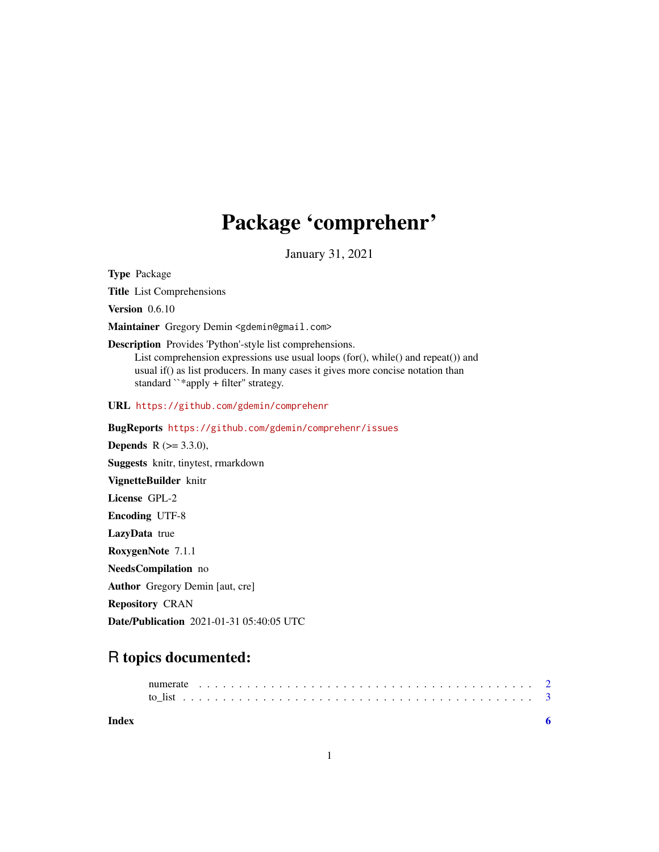## Package 'comprehenr'

January 31, 2021

<span id="page-0-0"></span>Type Package

Title List Comprehensions

Version 0.6.10

Maintainer Gregory Demin <gdemin@gmail.com>

Description Provides 'Python'-style list comprehensions.

List comprehension expressions use usual loops (for(), while() and repeat()) and usual if() as list producers. In many cases it gives more concise notation than standard ``\*apply + filter'' strategy.

URL <https://github.com/gdemin/comprehenr>

BugReports <https://github.com/gdemin/comprehenr/issues>

**Depends** R  $(>= 3.3.0)$ , Suggests knitr, tinytest, rmarkdown VignetteBuilder knitr License GPL-2 Encoding UTF-8 LazyData true RoxygenNote 7.1.1 NeedsCompilation no Author Gregory Demin [aut, cre] Repository CRAN

Date/Publication 2021-01-31 05:40:05 UTC

### R topics documented:

**Index** [6](#page-5-0) **6**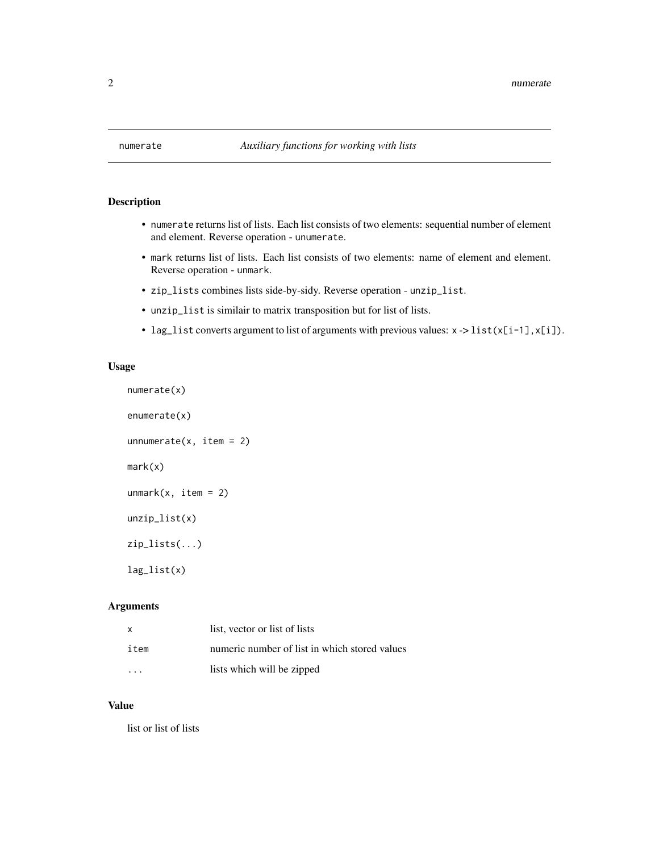<span id="page-1-0"></span>

#### Description

- numerate returns list of lists. Each list consists of two elements: sequential number of element and element. Reverse operation - unumerate.
- mark returns list of lists. Each list consists of two elements: name of element and element. Reverse operation - unmark.
- zip\_lists combines lists side-by-sidy. Reverse operation unzip\_list.
- unzip\_list is similair to matrix transposition but for list of lists.
- lag\_list converts argument to list of arguments with previous values: x -> list(x[i-1],x[i]).

#### Usage

```
numerate(x)
enumerate(x)
unnumerate(x, item = 2)
mark(x)
unmark(x, item = 2)unzip_list(x)
zip_lists(...)
lag_list(x)
```
#### Arguments

| X    | list, vector or list of lists                 |
|------|-----------------------------------------------|
| item | numeric number of list in which stored values |
| .    | lists which will be zipped                    |

#### Value

list or list of lists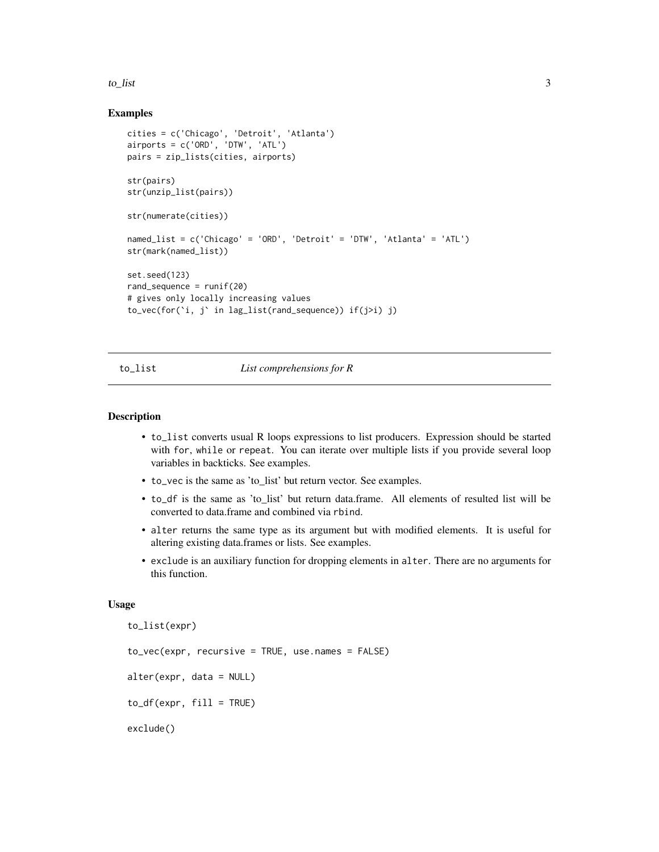#### <span id="page-2-0"></span> $\frac{1}{3}$  to list

#### Examples

```
cities = c('Chicago', 'Detroit', 'Atlanta')
airports = c('ORD', 'DTW', 'ATL')
pairs = zip_lists(cities, airports)
str(pairs)
str(unzip_list(pairs))
str(numerate(cities))
named_list = c('Chicago' = 'ORD', 'Detroit' = 'DTW', 'Atlanta' = 'ATL')
str(mark(named_list))
set.seed(123)
rand_sequence = runif(20)# gives only locally increasing values
to_vec(for(`i, j` in lag_list(rand_sequence)) if(j>i) j)
```
#### to\_list *List comprehensions for R*

#### Description

- to\_list converts usual R loops expressions to list producers. Expression should be started with for, while or repeat. You can iterate over multiple lists if you provide several loop variables in backticks. See examples.
- to\_vec is the same as 'to\_list' but return vector. See examples.
- to\_df is the same as 'to\_list' but return data.frame. All elements of resulted list will be converted to data.frame and combined via rbind.
- alter returns the same type as its argument but with modified elements. It is useful for altering existing data.frames or lists. See examples.
- exclude is an auxiliary function for dropping elements in alter. There are no arguments for this function.

#### Usage

```
to_list(expr)
to_vec(expr, recursive = TRUE, use.names = FALSE)
alter(expr, data = NULL)
to_d f(exp, fill = TRUE)exclude()
```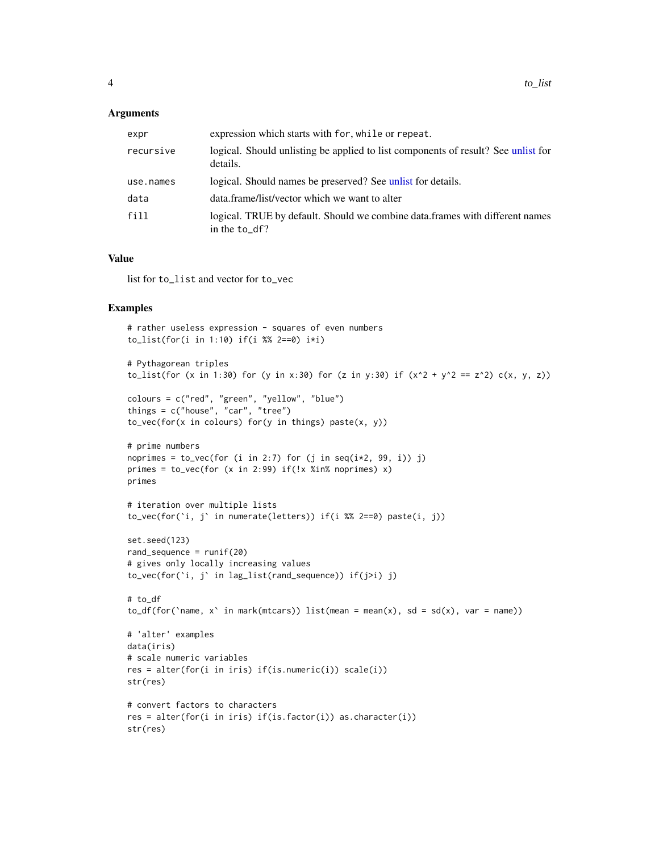#### <span id="page-3-0"></span>Arguments

| expr      | expression which starts with for, while or repeat.                                               |
|-----------|--------------------------------------------------------------------------------------------------|
| recursive | logical. Should unlisting be applied to list components of result? See unlist for<br>details.    |
| use.names | logical. Should names be preserved? See unlist for details.                                      |
| data      | data.frame/list/vector which we want to alter                                                    |
| fill      | logical. TRUE by default. Should we combine data frames with different names<br>in the $to_d$ f? |

#### Value

list for to\_list and vector for to\_vec

#### Examples

```
# rather useless expression - squares of even numbers
to_list(for(i in 1:10) if(i %% 2==0) i*i)
# Pythagorean triples
to_list(for (x in 1:30) for (y in x:30) for (z in y:30) if (x^2 + y^2) = z^2) c(x, y, z))
colours = c("red", "green", "yellow", "blue")
things = c("house", "car", "tree")
to_vec(for(x in colours) for(y in things) paste(x, y))
# prime numbers
noprimes = to_vec(for (i in 2:7) for (j in seq(i \times 2, 99, i)) j)
primes = to_vec(for (x in 2:99) if(!x %in% noprimes) x)
primes
# iteration over multiple lists
to\_vec(for('i, j') in numerate(lefters)) if(i %% 2==0) paste(i, j))
set.seed(123)
rand_sequence = runif(20)
# gives only locally increasing values
to_vec(for(`i, j` in lag_list(rand_sequence)) if(j>i) j)
# to_df
to_df(for(`name, x` in mark(mtcars)) list(mean = mean(x), sd = sd(x), var = name))
# 'alter' examples
data(iris)
# scale numeric variables
res = alter(for(i in iris) if(is.numeric(i)) scale(i))
str(res)
# convert factors to characters
res = alter(for(i in iris) if(is.factor(i)) as.character(i))
str(res)
```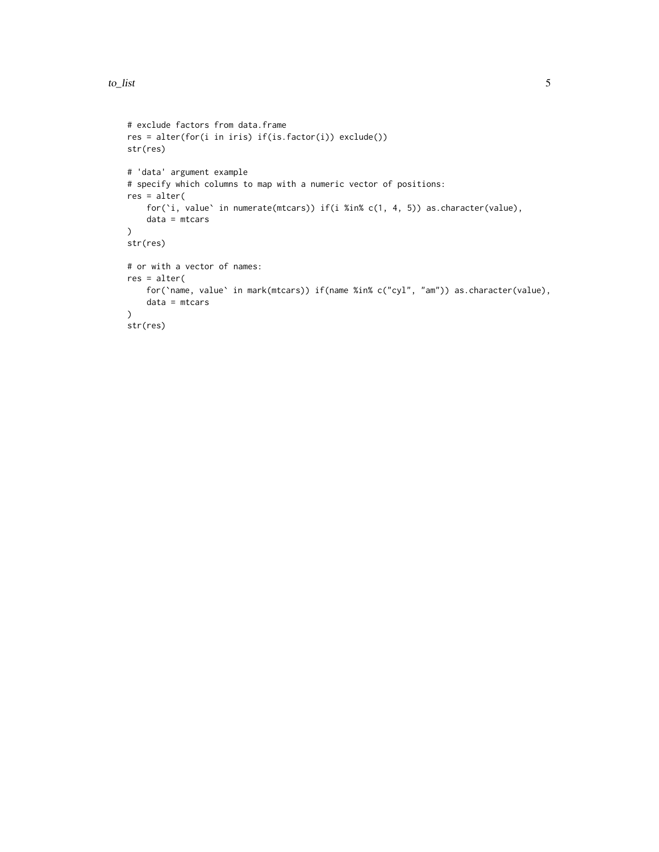```
# exclude factors from data.frame
res = alter(for(i in iris) if(is.factor(i)) exclude())
str(res)
# 'data' argument example
# specify which columns to map with a numeric vector of positions:
res = alter(
    for(`i, value` in numerate(mtcars)) if(i %in% c(1, 4, 5)) as.character(value),
    data = mtcars
\mathcal{L}str(res)
# or with a vector of names:
res = alter(
    for(`name, value` in mark(mtcars)) if(name %in% c("cyl", "am")) as.character(value),
   data = mtcars
)
str(res)
```